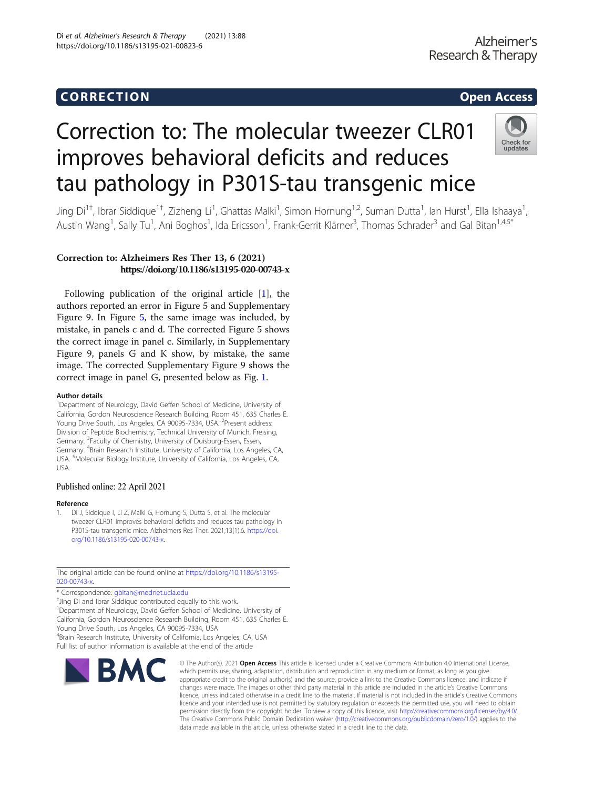# Corresponding to the corresponding to the corresponding to the corresponding to the corresponding to the corresponding to the corresponding to the corresponding to the corresponding to the corresponding to the correspondin

# Correction to: The molecular tweezer CLR01 improves behavioral deficits and reduces tau pathology in P301S-tau transgenic mice



Jing Di<sup>1+</sup>, Ibrar Siddique<sup>1†</sup>, Zizheng Li<sup>1</sup>, Ghattas Malki<sup>1</sup>, Simon Hornung<sup>1,2</sup>, Suman Dutta<sup>1</sup>, Ian Hurst<sup>1</sup>, Ella Ishaaya<sup>1</sup> , Austin Wang<sup>1</sup>, Sally Tu<sup>1</sup>, Ani Boghos<sup>1</sup>, Ida Ericsson<sup>1</sup>, Frank-Gerrit Klärner<sup>3</sup>, Thomas Schrader<sup>3</sup> and Gal Bitan<sup>1,4,5\*</sup>

# Correction to: Alzheimers Res Ther 13, 6 (2021) https://doi.org/10.1186/s13195-020-00743-x

Following publication of the original article [1], the authors reported an error in Figure 5 and Supplementary Figure 9. In Figure [5,](#page-2-0) the same image was included, by mistake, in panels c and d. The corrected Figure 5 shows the correct image in panel c. Similarly, in Supplementary Figure 9, panels G and K show, by mistake, the same image. The corrected Supplementary Figure 9 shows the correct image in panel G, presented below as Fig. [1.](#page-1-0)

### Author details

<sup>1</sup>Department of Neurology, David Geffen School of Medicine, University of California, Gordon Neuroscience Research Building, Room 451, 635 Charles E. Young Drive South, Los Angeles, CA 90095-7334, USA. <sup>2</sup>Present address: Division of Peptide Biochemistry, Technical University of Munich, Freising, Germany. <sup>3</sup>Faculty of Chemistry, University of Duisburg-Essen, Essen, Germany. <sup>4</sup>Brain Research Institute, University of California, Los Angeles, CA, USA. <sup>5</sup> Molecular Biology Institute, University of California, Los Angeles, CA, USA.

## Published online: 22 April 2021

## Reference

1. Di J, Siddique I, Li Z, Malki G, Hornung S, Dutta S, et al. The molecular tweezer CLR01 improves behavioral deficits and reduces tau pathology in P301S-tau transgenic mice. Alzheimers Res Ther. 2021;13(1):6. [https://doi.](https://doi.org/10.1186/s13195-020-00743-x) [org/10.1186/s13195-020-00743-x](https://doi.org/10.1186/s13195-020-00743-x).

The original article can be found online at [https://doi.org/10.1186/s13195-](https://doi.org/10.1186/s13195-020-00743-x)  $020 - 00743 - x$ 

\* Correspondence: [gbitan@mednet.ucla.edu](mailto:gbitan@mednet.ucla.edu) †

<sup>+</sup>Jing Di and Ibrar Siddique contributed equally to this work. <sup>1</sup>Department of Neurology, David Geffen School of Medicine, University of

California, Gordon Neuroscience Research Building, Room 451, 635 Charles E. Young Drive South, Los Angeles, CA 90095-7334, USA

4 Brain Research Institute, University of California, Los Angeles, CA, USA Full list of author information is available at the end of the article



© The Author(s), 2021 **Open Access** This article is licensed under a Creative Commons Attribution 4.0 International License, which permits use, sharing, adaptation, distribution and reproduction in any medium or format, as long as you give appropriate credit to the original author(s) and the source, provide a link to the Creative Commons licence, and indicate if changes were made. The images or other third party material in this article are included in the article's Creative Commons licence, unless indicated otherwise in a credit line to the material. If material is not included in the article's Creative Commons licence and your intended use is not permitted by statutory regulation or exceeds the permitted use, you will need to obtain permission directly from the copyright holder. To view a copy of this licence, visit [http://creativecommons.org/licenses/by/4.0/.](http://creativecommons.org/licenses/by/4.0/) The Creative Commons Public Domain Dedication waiver [\(http://creativecommons.org/publicdomain/zero/1.0/](http://creativecommons.org/publicdomain/zero/1.0/)) applies to the data made available in this article, unless otherwise stated in a credit line to the data.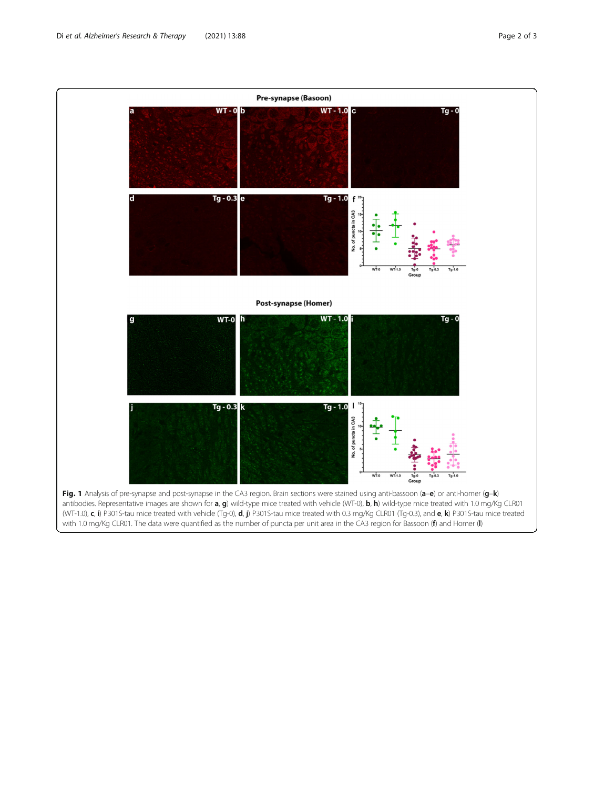<span id="page-1-0"></span>